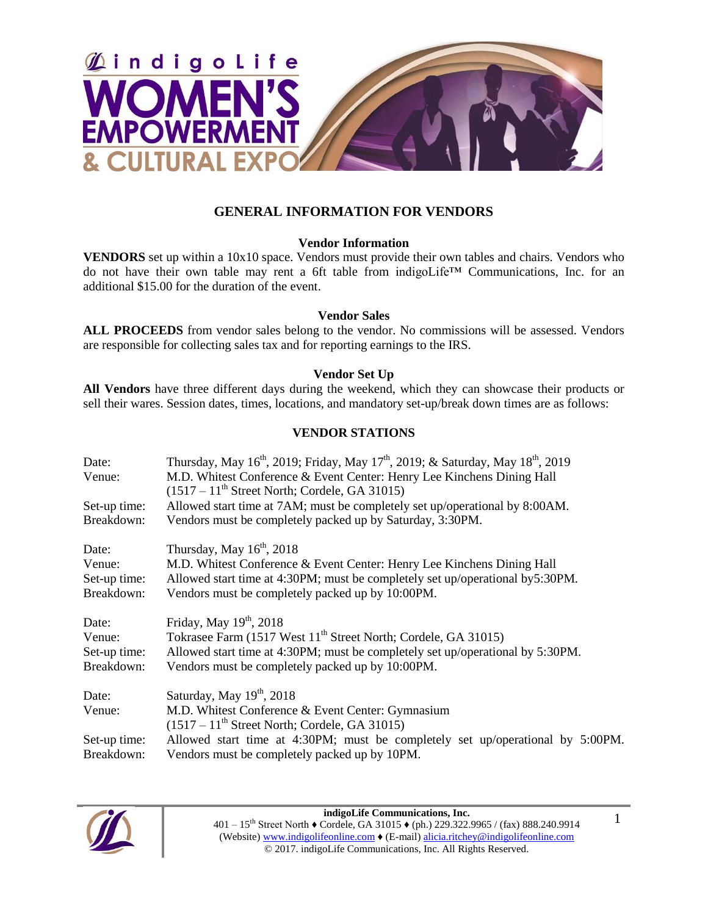

## **GENERAL INFORMATION FOR VENDORS**

### **Vendor Information**

**VENDORS** set up within a 10x10 space. Vendors must provide their own tables and chairs. Vendors who do not have their own table may rent a 6ft table from indigoLife™ Communications, Inc. for an additional \$15.00 for the duration of the event.

### **Vendor Sales**

**ALL PROCEEDS** from vendor sales belong to the vendor. No commissions will be assessed. Vendors are responsible for collecting sales tax and for reporting earnings to the IRS.

### **Vendor Set Up**

**All Vendors** have three different days during the weekend, which they can showcase their products or sell their wares. Session dates, times, locations, and mandatory set-up/break down times are as follows:

### **VENDOR STATIONS**

| Date:        | Thursday, May 16 <sup>th</sup> , 2019; Friday, May 17 <sup>th</sup> , 2019; & Saturday, May 18 <sup>th</sup> , 2019 |
|--------------|---------------------------------------------------------------------------------------------------------------------|
| Venue:       | M.D. Whitest Conference & Event Center: Henry Lee Kinchens Dining Hall                                              |
|              | $(1517 - 11^{\text{th}})$ Street North; Cordele, GA 31015)                                                          |
| Set-up time: | Allowed start time at 7AM; must be completely set up/operational by 8:00AM.                                         |
| Breakdown:   | Vendors must be completely packed up by Saturday, 3:30PM.                                                           |
| Date:        | Thursday, May $16th$ , 2018                                                                                         |
| Venue:       | M.D. Whitest Conference & Event Center: Henry Lee Kinchens Dining Hall                                              |
| Set-up time: | Allowed start time at 4:30PM; must be completely set up/operational by5:30PM.                                       |
| Breakdown:   | Vendors must be completely packed up by 10:00PM.                                                                    |
| Date:        | Friday, May $19th$ , 2018                                                                                           |
| Venue:       | Tokrasee Farm (1517 West 11 <sup>th</sup> Street North; Cordele, GA 31015)                                          |
| Set-up time: | Allowed start time at 4:30PM; must be completely set up/operational by 5:30PM.                                      |
| Breakdown:   | Vendors must be completely packed up by 10:00PM.                                                                    |
| Date:        | Saturday, May $19th$ , 2018                                                                                         |
| Venue:       | M.D. Whitest Conference & Event Center: Gymnasium                                                                   |
|              | $(1517 - 11^{\text{th}})$ Street North; Cordele, GA 31015)                                                          |
| Set-up time: | Allowed start time at 4:30PM; must be completely set up/operational by 5:00PM.                                      |
| Breakdown:   | Vendors must be completely packed up by 10PM.                                                                       |



**indigoLife Communications, Inc.** 401 – 15th Street North ♦ Cordele, GA 31015 ♦ (ph.) 229.322.9965 / (fax) 888.240.9914 (Website) www.indigolifeonline.com ♦ (E-mail) alicia.ritchey@indigolifeonline.com © 2017. indigoLife Communications, Inc. All Rights Reserved.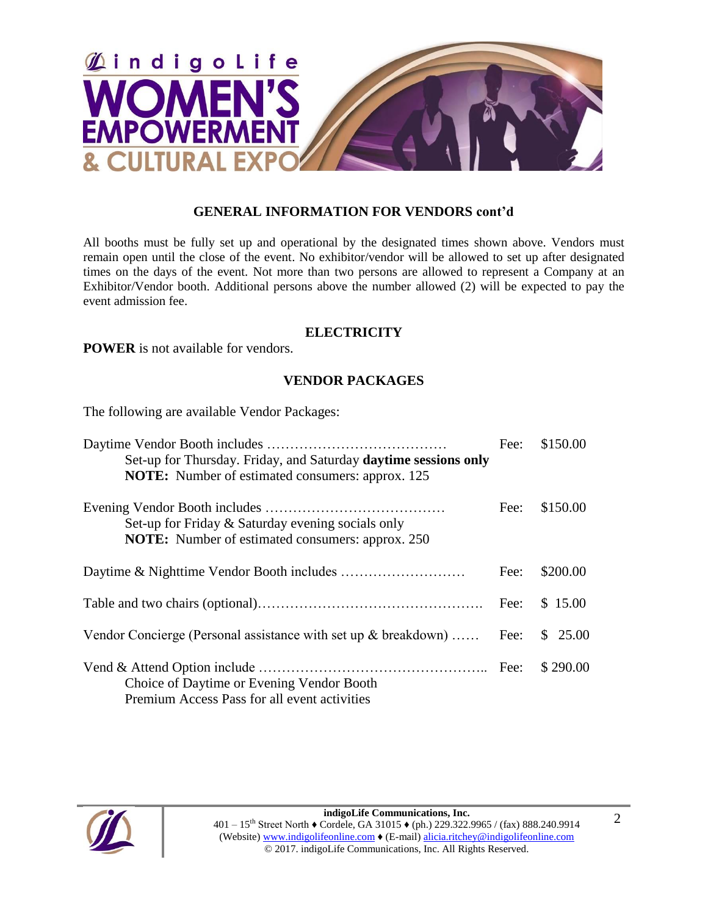

## **GENERAL INFORMATION FOR VENDORS cont'd**

All booths must be fully set up and operational by the designated times shown above. Vendors must remain open until the close of the event. No exhibitor/vendor will be allowed to set up after designated times on the days of the event. Not more than two persons are allowed to represent a Company at an Exhibitor/Vendor booth. Additional persons above the number allowed (2) will be expected to pay the event admission fee.

### **ELECTRICITY**

**POWER** is not available for vendors.

## **VENDOR PACKAGES**

The following are available Vendor Packages:

| Set-up for Thursday. Friday, and Saturday daytime sessions only                                              | Fee: | \$150.00 |
|--------------------------------------------------------------------------------------------------------------|------|----------|
| <b>NOTE:</b> Number of estimated consumers: approx. 125                                                      |      |          |
| Set-up for Friday & Saturday evening socials only<br><b>NOTE:</b> Number of estimated consumers: approx. 250 | Fee: | \$150.00 |
|                                                                                                              | Fee: | \$200.00 |
|                                                                                                              |      | \$15.00  |
| Vendor Concierge (Personal assistance with set up $\&$ breakdown)                                            | Fee: | \$25.00  |
| Choice of Daytime or Evening Vendor Booth<br>Premium Access Pass for all event activities                    |      | \$290.00 |

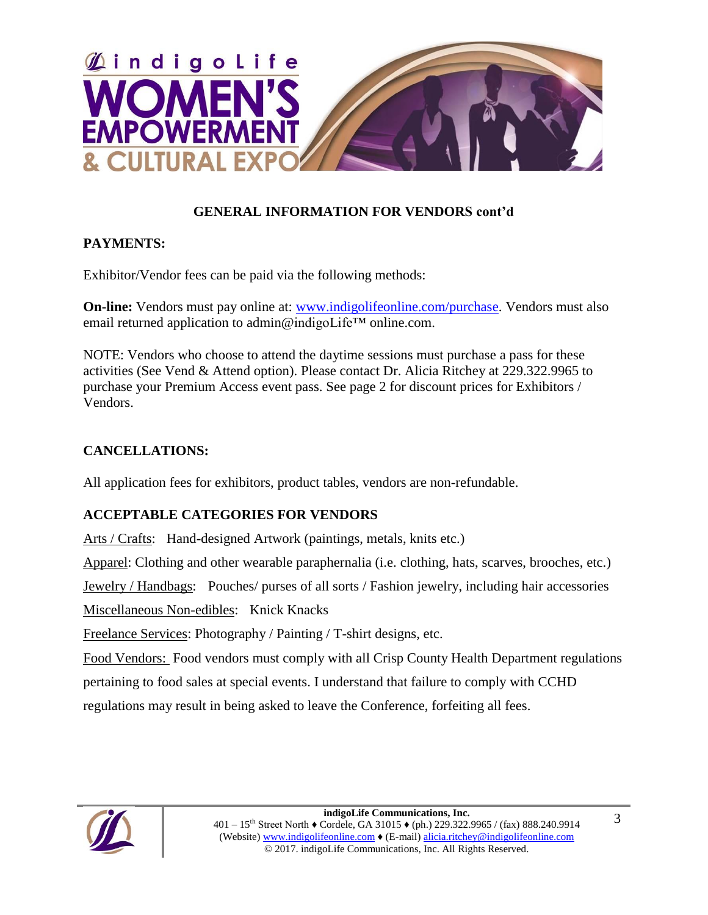

## **GENERAL INFORMATION FOR VENDORS cont'd**

## **PAYMENTS:**

Exhibitor/Vendor fees can be paid via the following methods:

**On-line:** Vendors must pay online at: www.indigolifeonline.com/purchase. Vendors must also email returned application to admin@indigoLife™ online.com.

NOTE: Vendors who choose to attend the daytime sessions must purchase a pass for these activities (See Vend & Attend option). Please contact Dr. Alicia Ritchey at 229.322.9965 to purchase your Premium Access event pass. See page 2 for discount prices for Exhibitors / Vendors.

## **CANCELLATIONS:**

All application fees for exhibitors, product tables, vendors are non-refundable.

## **ACCEPTABLE CATEGORIES FOR VENDORS**

Arts / Crafts: Hand-designed Artwork (paintings, metals, knits etc.)

Apparel: Clothing and other wearable paraphernalia (i.e. clothing, hats, scarves, brooches, etc.)

Jewelry / Handbags: Pouches/ purses of all sorts / Fashion jewelry, including hair accessories

Miscellaneous Non-edibles: Knick Knacks

Freelance Services: Photography / Painting / T-shirt designs, etc.

Food Vendors: Food vendors must comply with all Crisp County Health Department regulations pertaining to food sales at special events. I understand that failure to comply with CCHD regulations may result in being asked to leave the Conference, forfeiting all fees.

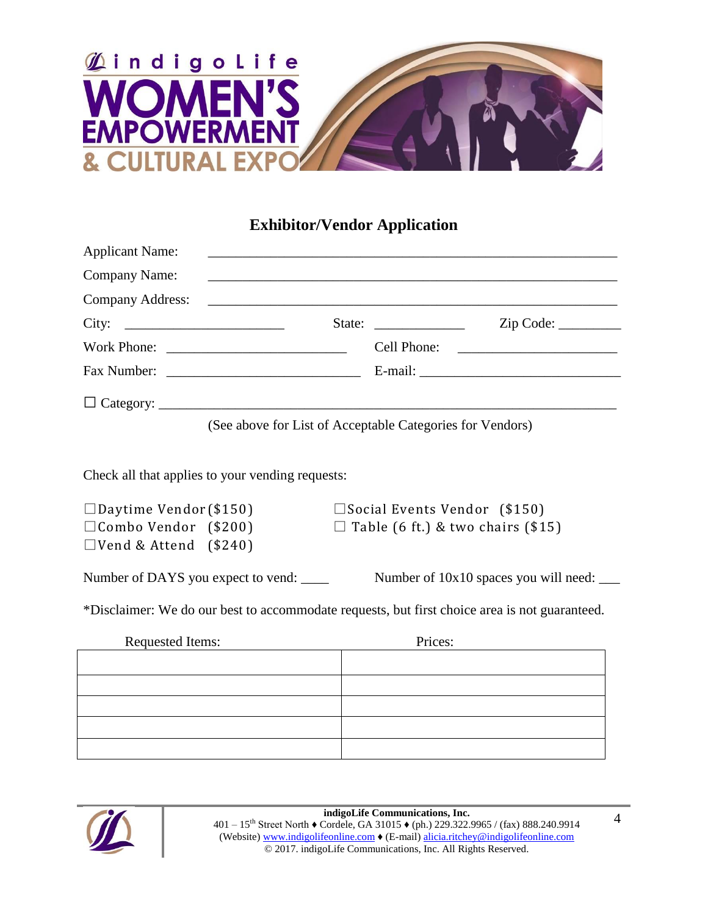

# **Exhibitor/Vendor Application**

| <b>Applicant Name:</b> |                                                           |             |
|------------------------|-----------------------------------------------------------|-------------|
|                        |                                                           |             |
|                        |                                                           |             |
| City: $\qquad \qquad$  | State: $\frac{1}{\sqrt{1-\frac{1}{2}} \cdot \frac{1}{2}}$ | Zip Code:   |
| Work Phone:            |                                                           | Cell Phone: |
|                        |                                                           |             |
|                        |                                                           |             |

(See above for List of Acceptable Categories for Vendors)

Check all that applies to your vending requests:

| $\Box$ Daytime Vendor (\$150) |  |  |  |  |
|-------------------------------|--|--|--|--|
| $\Box$ Combo Vendor (\$200)   |  |  |  |  |
| $\Box$ Vend & Attend (\$240)  |  |  |  |  |

 $\square$  Social Events Vendor (\$150)  $\Box$  Table (6 ft.) & two chairs (\$15)

Number of DAYS you expect to vend: Number of  $10x10$  spaces you will need:

\*Disclaimer: We do our best to accommodate requests, but first choice area is not guaranteed.

| <b>Requested Items:</b> | Prices: |
|-------------------------|---------|
|                         |         |
|                         |         |
|                         |         |
|                         |         |
|                         |         |
|                         |         |



4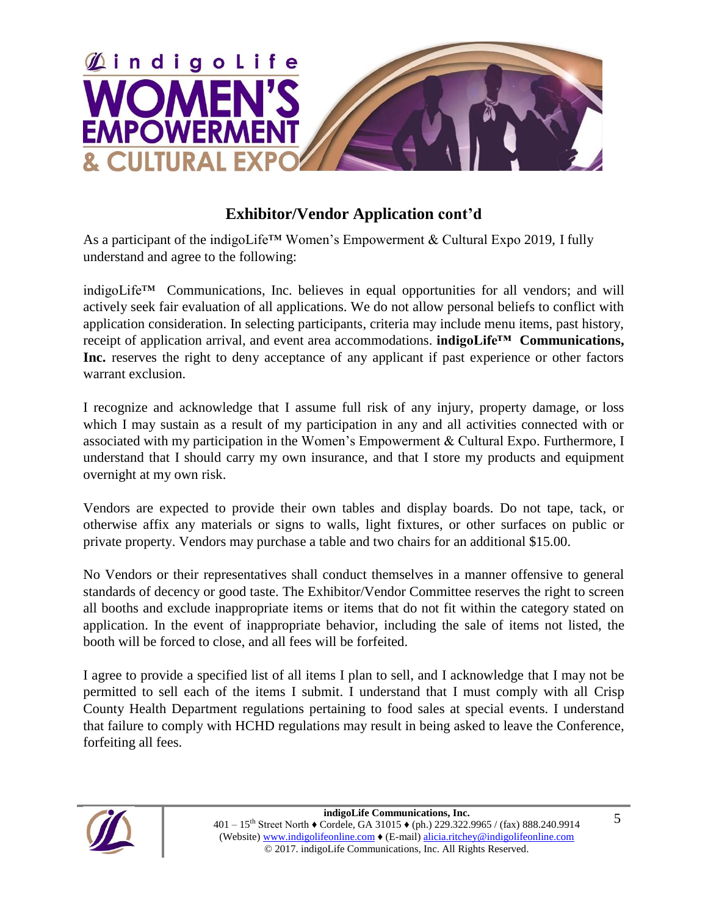

# **Exhibitor/Vendor Application cont'd**

As a participant of the indigoLife™ Women's Empowerment & Cultural Expo 2019, I fully understand and agree to the following:

indigoLife™ Communications, Inc. believes in equal opportunities for all vendors; and will actively seek fair evaluation of all applications. We do not allow personal beliefs to conflict with application consideration. In selecting participants, criteria may include menu items, past history, receipt of application arrival, and event area accommodations. **indigoLife™ Communications,**  Inc. reserves the right to deny acceptance of any applicant if past experience or other factors warrant exclusion.

I recognize and acknowledge that I assume full risk of any injury, property damage, or loss which I may sustain as a result of my participation in any and all activities connected with or associated with my participation in the Women's Empowerment & Cultural Expo. Furthermore, I understand that I should carry my own insurance, and that I store my products and equipment overnight at my own risk.

Vendors are expected to provide their own tables and display boards. Do not tape, tack, or otherwise affix any materials or signs to walls, light fixtures, or other surfaces on public or private property. Vendors may purchase a table and two chairs for an additional \$15.00.

No Vendors or their representatives shall conduct themselves in a manner offensive to general standards of decency or good taste. The Exhibitor/Vendor Committee reserves the right to screen all booths and exclude inappropriate items or items that do not fit within the category stated on application. In the event of inappropriate behavior, including the sale of items not listed, the booth will be forced to close, and all fees will be forfeited.

I agree to provide a specified list of all items I plan to sell, and I acknowledge that I may not be permitted to sell each of the items I submit. I understand that I must comply with all Crisp County Health Department regulations pertaining to food sales at special events. I understand that failure to comply with HCHD regulations may result in being asked to leave the Conference, forfeiting all fees.